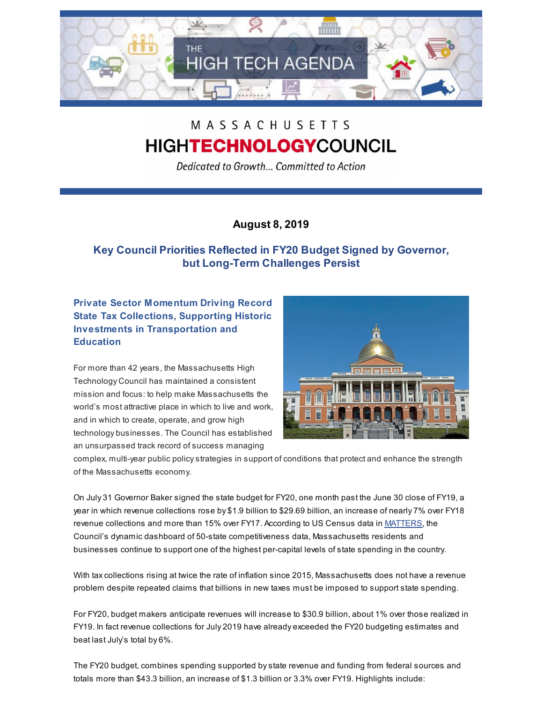

# MASSACHUSETTS **HIGHTECHNOLOGYCOUNCIL**

Dedicated to Growth... Committed to Action

## **August 8, 2019**

# **Key Council Priorities Reflected in FY20 Budget Signed by Governor, but Long-Term Challenges Persist**

**Private Sector Momentum Driving Record State Tax Collections, Supporting Historic Investments in Transportation and Education**

For more than 42 years, the Massachusetts High Technology Council has maintained a consistent mission and focus: to help make Massachusetts the world's most attractive place in which to live and work, and in which to create, operate, and grow high technology businesses. The Council has established an unsurpassed track record of success managing



complex, multi-year public policystrategies in support of conditions that protect and enhance the strength of the Massachusetts economy.

On July 31 Governor Baker signed the state budget for FY20, one month past the June 30 close of FY19, a year in which revenue collections rose by \$1.9 billion to \$29.69 billion, an increase of nearly 7% over FY18 revenue collections and more than 15% over FY17. According to US Census data in [MATTERS](http://matters.mhtc.org/), the Council's dynamic dashboard of 50-state competitiveness data, Massachusetts residents and businesses continue to support one of the highest per-capital levels of state spending in the country.

With taxcollections rising at twice the rate of inflation since 2015, Massachusetts does not have a revenue problem despite repeated claims that billions in new taxes must be imposed to support state spending.

For FY20, budget makers anticipate revenues will increase to \$30.9 billion, about 1% over those realized in FY19. In fact revenue collections for July 2019 have already exceeded the FY20 budgeting estimates and beat last July's total by 6%.

The FY20 budget, combines spending supported bystate revenue and funding from federal sources and totals more than \$43.3 billion, an increase of \$1.3 billion or 3.3% over FY19. Highlights include: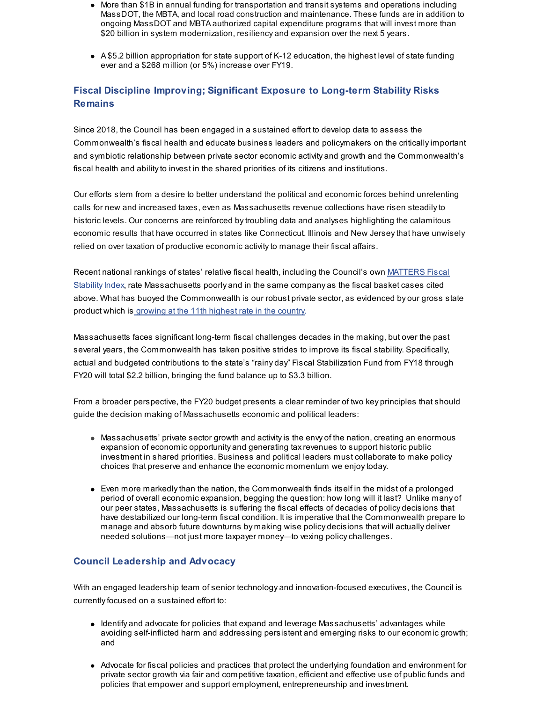- More than \$1B in annual funding for transportation and transit systems and operations including MassDOT, the MBTA, and local road construction and maintenance. These funds are in addition to ongoing MassDOT and MBTA authorized capital expenditure programs that will invest more than \$20 billion in system modernization, resiliency and expansion over the next 5 years.
- A \$5.2 billion appropriation for state support of K-12 education, the highest level of state funding ever and a \$268 million (or 5%) increase over FY19.

## **Fiscal Discipline Improving; Significant Exposure to Long-term Stability Risks Remains**

Since 2018, the Council has been engaged in a sustained effort to develop data to assess the Commonwealth's fiscal health and educate business leaders and policymakers on the criticallyimportant and symbiotic relationship between private sector economic activity and growth and the Commonwealth's fiscal health and abilityto invest in the shared priorities of its citizens and institutions.

Our efforts stem from a desire to better understand the political and economic forces behind unrelenting calls for new and increased taxes, even as Massachusetts revenue collections have risen steadilyto historic levels. Our concerns are reinforced bytroubling data and analyses highlighting the calamitous economic results that have occurred in states like Connecticut. Illinois and New Jerseythat have unwisely relied on over taxation of productive economic activityto manage their fiscal affairs.

Recent national rankings of states' relative fiscal health, including the Council's own MATTERS Fiscal Stability Index, rate [Massachusetts](http://matters.mhtc.org/) poorly and in the same company as the fiscal basket cases cited above. What has buoyed the Commonwealth is our robust private sector, as evidenced by our gross state product which is [growing](http://matters.mhtc.org/explore?metrics=116&userMetrics=&states=51,1,2,3,4,5,6,7,8,9,10,11,12,13,14,15,16,17,18,19,20,21,22,23,24,25,26,27,28,29,30,31,32,33,34,35,36,37,38,39,40,41,42,43,44,45,46,47,48,49,50&visualization=0) at the 11th highest rate in the country.

Massachusetts faces significant long-term fiscal challenges decades in the making, but over the past several years, the Commonwealth has taken positive strides to improve its fiscal stability. Specifically, actual and budgeted contributions to the state's "rainy day" Fiscal Stabilization Fund from FY18 through FY20 will total \$2.2 billion, bringing the fund balance up to \$3.3 billion.

From a broader perspective, the FY20 budget presents a clear reminder of two key principles that should guide the decision making of Massachusetts economic and political leaders:

- Massachusetts' private sector growth and activity is the envy of the nation, creating an enormous expansion of economic opportunity and generating taxrevenues to support historic public investment in shared priorities. Business and political leaders must collaborate to make policy choices that preserve and enhance the economic momentum we enjoytoday.
- $\bullet$  Even more markedly than the nation, the Commonwealth finds itself in the midst of a prolonged period of overall economic expansion, begging the question: how long will it last? Unlike many of our peer states, Massachusetts is suffering the fiscal effects of decades of policy decisions that have destabilized our long-term fiscal condition. It is imperative that the Commonwealth prepare to manage and absorb future downturns by making wise policy decisions that will actually deliver needed solutions—not just more taxpayer money—to vexing policychallenges.

### **Council Leadership and Advocacy**

With an engaged leadership team of senior technology and innovation-focused executives, the Council is currently focused on a sustained effort to:

- Identify and advocate for policies that expand and leverage Massachusetts' advantages while avoiding self-inflicted harm and addressing persistent and emerging risks to our economic growth; and
- Advocate for fiscal policies and practices that protect the underlying foundation and environment for private sector growth via fair and competitive taxation, efficient and effective use of public funds and policies that empower and support employment, entrepreneurship and investment.